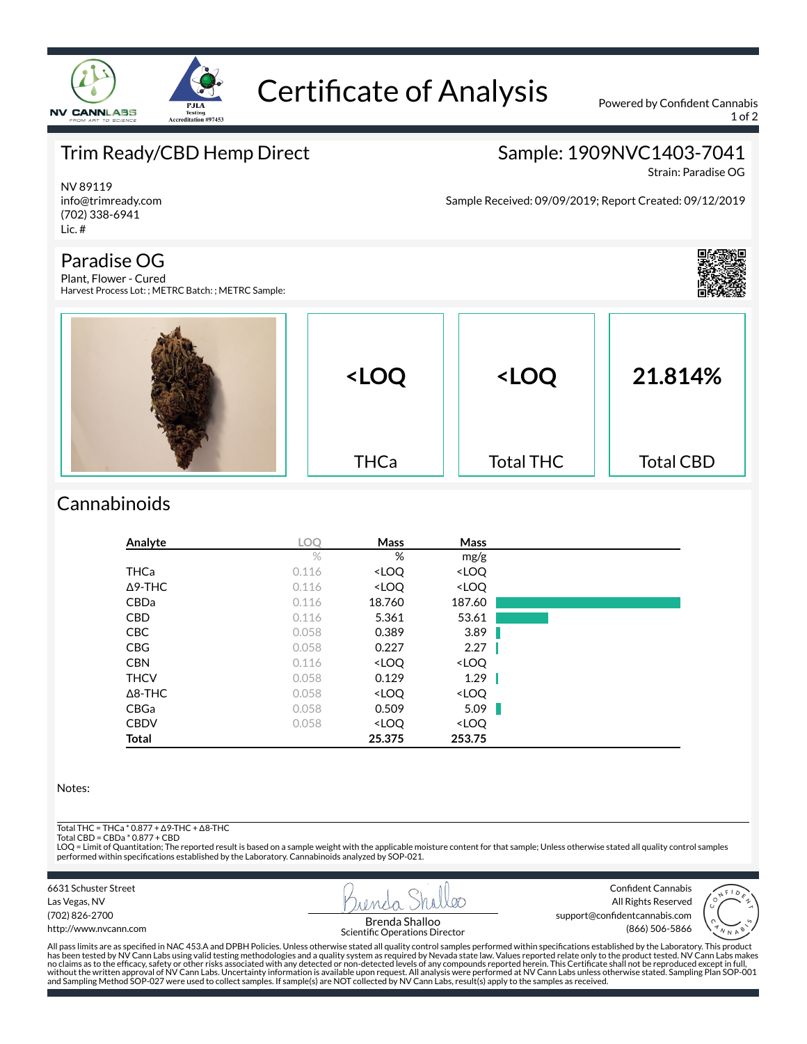

# Certificate of Analysis Powered by Confident Cannabis

1 of 2

## Trim Ready/CBD Hemp Direct

### Sample: 1909NVC1403-7041

Sample Received: 09/09/2019; Report Created: 09/12/2019

Strain: Paradise OG

NV 89119 info@trimready.com (702) 338-6941 Lic. #

### Paradise OG

Plant, Flower - Cured Harvest Process Lot: ; METRC Batch: ; METRC Sample:



| <loq< th=""><th><loq< th=""><th>21.814%</th></loq<></th></loq<> | <loq< th=""><th>21.814%</th></loq<> | 21.814%          |
|-----------------------------------------------------------------|-------------------------------------|------------------|
| <b>THCa</b>                                                     | <b>Total THC</b>                    | <b>Total CBD</b> |

### **Cannabinoids**

| Analyte        | <b>LOO</b> | Mass                                                     | Mass                         |  |
|----------------|------------|----------------------------------------------------------|------------------------------|--|
|                | $\%$       | %                                                        | mg/g                         |  |
| <b>THCa</b>    | 0.116      | <loq< td=""><td><loq< td=""><td></td></loq<></td></loq<> | <loq< td=""><td></td></loq<> |  |
| $\Delta$ 9-THC | 0.116      | <loq< td=""><td><loq< td=""><td></td></loq<></td></loq<> | <loq< td=""><td></td></loq<> |  |
| <b>CBDa</b>    | 0.116      | 18.760                                                   | 187.60                       |  |
| <b>CBD</b>     | 0.116      | 5.361                                                    | 53.61                        |  |
| <b>CBC</b>     | 0.058      | 0.389                                                    | 3.89                         |  |
| <b>CBG</b>     | 0.058      | 0.227                                                    | 2.27                         |  |
| <b>CBN</b>     | 0.116      | <loq< td=""><td><loq< td=""><td></td></loq<></td></loq<> | <loq< td=""><td></td></loq<> |  |
| <b>THCV</b>    | 0.058      | 0.129                                                    | 1.29                         |  |
| $\Delta$ 8-THC | 0.058      | <loq< td=""><td><loq< td=""><td></td></loq<></td></loq<> | <loq< td=""><td></td></loq<> |  |
| CBGa           | 0.058      | 0.509                                                    | 5.09                         |  |
| <b>CBDV</b>    | 0.058      | <loq< td=""><td><loq< td=""><td></td></loq<></td></loq<> | <loq< td=""><td></td></loq<> |  |
| <b>Total</b>   |            | 25.375                                                   | 253.75                       |  |

#### Notes:

Total THC = THCa \* 0.877 + ∆9-THC + ∆8-THC

Total CBD = CBDa \* 0.877 + CBD

LOQ = Limit of Quantitation; The reported result is based on a sample weight with the applicable moisture content for that sample; Unless otherwise stated all quality control samples performed within specifications established by the Laboratory. Cannabinoids analyzed by SOP-021.

6631 Schuster Street Las Vegas, NV (702) 826-2700

http://www.nvcann.com



Confident Cannabis All Rights Reserved support@confidentcannabis.com Brenda Shalloo<br>tific Operations Director (866) 506-5866



All pass limits are as specified in NAC 453.A and DPBH Policies. Unless otherwise stated all quality control samples performed within specifications established by the Laboratory. This product has been tested by NV Cann Labs using valid testing methodologies and a quality system as required by Nevada state law. Values reported relate only to the product tested. NV Cann Labs makes<br>no claims as to the efficacy, sa without the written approval of NV Cann Labs. Uncertainty information is available upon request. All analysis were performed at NV Cann Labs unless otherwise stated. Sampling Plan SOP-001<br>and Sampling Method SOP-027 were u

Scientific Operations Director